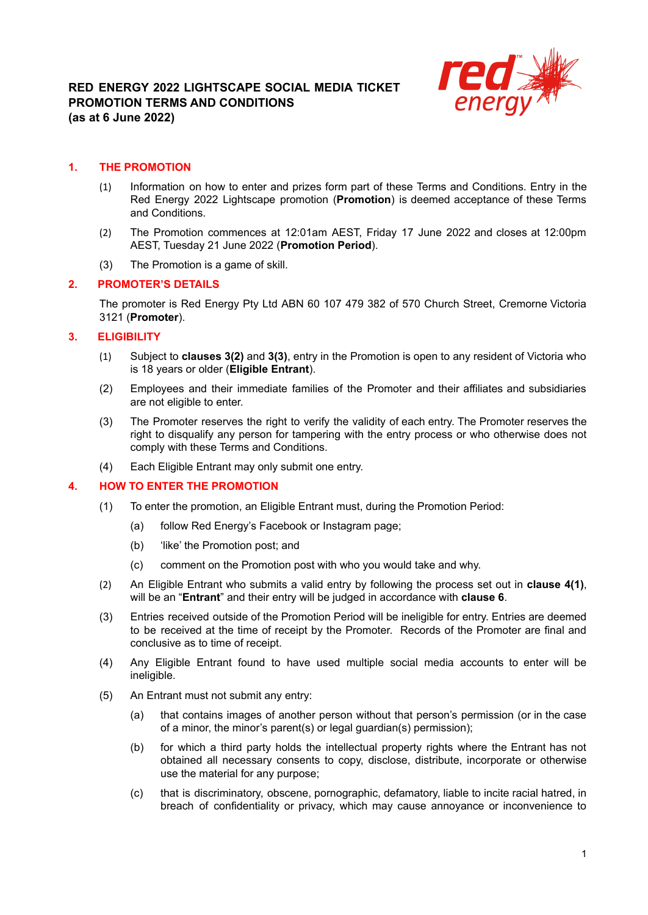

### **1. THE PROMOTION**

- (1) Information on how to enter and prizes form part of these Terms and Conditions. Entry in the Red Energy 2022 Lightscape promotion (**Promotion**) is deemed acceptance of these Terms and Conditions.
- (2) The Promotion commences at 12:01am AEST, Friday 17 June 2022 and closes at 12:00pm AEST, Tuesday 21 June 2022 (**Promotion Period**).
- (3) The Promotion is a game of skill.

### **2. PROMOTER'S DETAILS**

The promoter is Red Energy Pty Ltd ABN 60 107 479 382 of 570 Church Street, Cremorne Victoria 3121 (**Promoter**).

### **3. ELIGIBILITY**

- (1) Subject to **clauses 3(2)** and **3(3)**, entry in the Promotion is open to any resident of Victoria who is 18 years or older (**Eligible Entrant**).
- (2) Employees and their immediate families of the Promoter and their affiliates and subsidiaries are not eligible to enter.
- (3) The Promoter reserves the right to verify the validity of each entry. The Promoter reserves the right to disqualify any person for tampering with the entry process or who otherwise does not comply with these Terms and Conditions.
- (4) Each Eligible Entrant may only submit one entry.

### **4. HOW TO ENTER THE PROMOTION**

- (1) To enter the promotion, an Eligible Entrant must, during the Promotion Period:
	- (a) follow Red Energy's Facebook or Instagram page;
	- (b) 'like' the Promotion post; and
	- (c) comment on the Promotion post with who you would take and why.
- (2) An Eligible Entrant who submits a valid entry by following the process set out in **clause 4(1)**, will be an "**Entrant**" and their entry will be judged in accordance with **clause 6**.
- (3) Entries received outside of the Promotion Period will be ineligible for entry. Entries are deemed to be received at the time of receipt by the Promoter. Records of the Promoter are final and conclusive as to time of receipt.
- (4) Any Eligible Entrant found to have used multiple social media accounts to enter will be ineligible.
- (5) An Entrant must not submit any entry:
	- (a) that contains images of another person without that person's permission (or in the case of a minor, the minor's parent(s) or legal guardian(s) permission);
	- (b) for which a third party holds the intellectual property rights where the Entrant has not obtained all necessary consents to copy, disclose, distribute, incorporate or otherwise use the material for any purpose;
	- (c) that is discriminatory, obscene, pornographic, defamatory, liable to incite racial hatred, in breach of confidentiality or privacy, which may cause annoyance or inconvenience to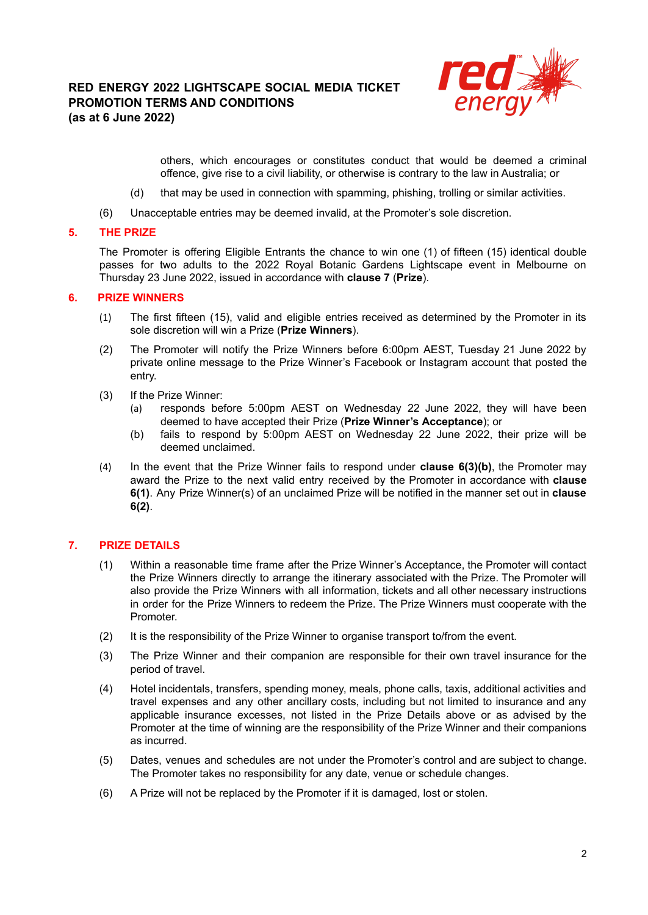# **RED ENERGY 2022 LIGHTSCAPE SOCIAL MEDIA TICKET PROMOTION TERMS AND CONDITIONS (as at 6 June 2022)**



others, which encourages or constitutes conduct that would be deemed a criminal offence, give rise to a civil liability, or otherwise is contrary to the law in Australia; or

- (d) that may be used in connection with spamming, phishing, trolling or similar activities.
- (6) Unacceptable entries may be deemed invalid, at the Promoter's sole discretion.

#### **5. THE PRIZE**

The Promoter is offering Eligible Entrants the chance to win one (1) of fifteen (15) identical double passes for two adults to the 2022 Royal Botanic Gardens Lightscape event in Melbourne on Thursday 23 June 2022, issued in accordance with **clause 7** (**Prize**).

#### **6. PRIZE WINNERS**

- (1) The first fifteen (15), valid and eligible entries received as determined by the Promoter in its sole discretion will win a Prize (**Prize Winners**).
- (2) The Promoter will notify the Prize Winners before 6:00pm AEST, Tuesday 21 June 2022 by private online message to the Prize Winner's Facebook or Instagram account that posted the entry.
- (3) If the Prize Winner:
	- (a) responds before 5:00pm AEST on Wednesday 22 June 2022, they will have been deemed to have accepted their Prize (**Prize Winner's Acceptance**); or
	- (b) fails to respond by 5:00pm AEST on Wednesday 22 June 2022, their prize will be deemed unclaimed.
- (4) In the event that the Prize Winner fails to respond under **clause 6(3)(b)**, the Promoter may award the Prize to the next valid entry received by the Promoter in accordance with **clause 6(1)**. Any Prize Winner(s) of an unclaimed Prize will be notified in the manner set out in **clause 6(2)**.

## **7. PRIZE DETAILS**

- (1) Within a reasonable time frame after the Prize Winner's Acceptance, the Promoter will contact the Prize Winners directly to arrange the itinerary associated with the Prize. The Promoter will also provide the Prize Winners with all information, tickets and all other necessary instructions in order for the Prize Winners to redeem the Prize. The Prize Winners must cooperate with the Promoter.
- (2) It is the responsibility of the Prize Winner to organise transport to/from the event.
- (3) The Prize Winner and their companion are responsible for their own travel insurance for the period of travel.
- (4) Hotel incidentals, transfers, spending money, meals, phone calls, taxis, additional activities and travel expenses and any other ancillary costs, including but not limited to insurance and any applicable insurance excesses, not listed in the Prize Details above or as advised by the Promoter at the time of winning are the responsibility of the Prize Winner and their companions as incurred.
- (5) Dates, venues and schedules are not under the Promoter's control and are subject to change. The Promoter takes no responsibility for any date, venue or schedule changes.
- (6) A Prize will not be replaced by the Promoter if it is damaged, lost or stolen.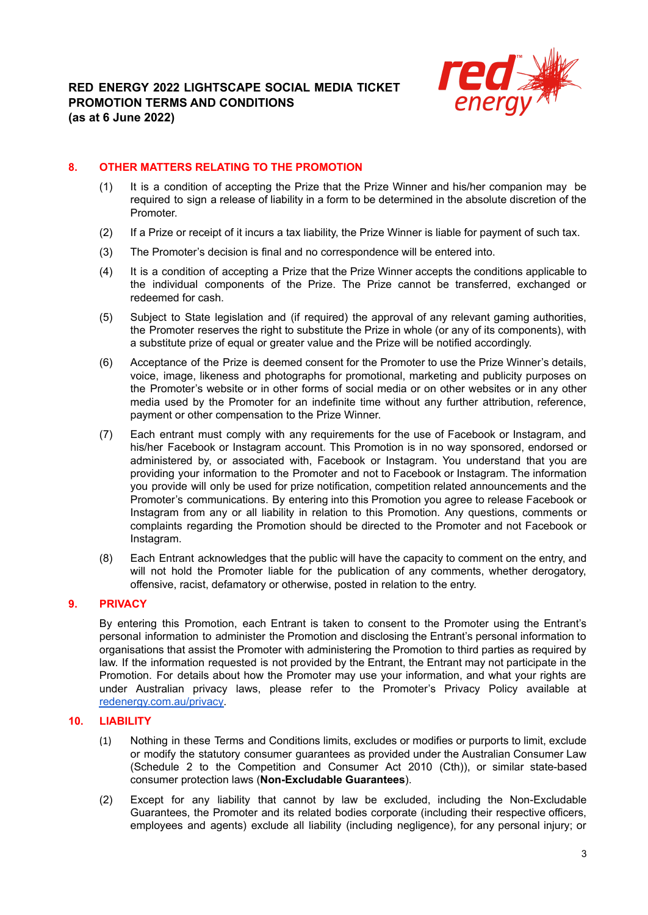

## **8. OTHER MATTERS RELATING TO THE PROMOTION**

- (1) It is a condition of accepting the Prize that the Prize Winner and his/her companion may be required to sign a release of liability in a form to be determined in the absolute discretion of the Promoter.
- (2) If a Prize or receipt of it incurs a tax liability, the Prize Winner is liable for payment of such tax.
- (3) The Promoter's decision is final and no correspondence will be entered into.
- (4) It is a condition of accepting a Prize that the Prize Winner accepts the conditions applicable to the individual components of the Prize. The Prize cannot be transferred, exchanged or redeemed for cash.
- (5) Subject to State legislation and (if required) the approval of any relevant gaming authorities, the Promoter reserves the right to substitute the Prize in whole (or any of its components), with a substitute prize of equal or greater value and the Prize will be notified accordingly.
- (6) Acceptance of the Prize is deemed consent for the Promoter to use the Prize Winner's details, voice, image, likeness and photographs for promotional, marketing and publicity purposes on the Promoter's website or in other forms of social media or on other websites or in any other media used by the Promoter for an indefinite time without any further attribution, reference, payment or other compensation to the Prize Winner.
- (7) Each entrant must comply with any requirements for the use of Facebook or Instagram, and his/her Facebook or Instagram account. This Promotion is in no way sponsored, endorsed or administered by, or associated with, Facebook or Instagram. You understand that you are providing your information to the Promoter and not to Facebook or Instagram. The information you provide will only be used for prize notification, competition related announcements and the Promoter's communications. By entering into this Promotion you agree to release Facebook or Instagram from any or all liability in relation to this Promotion. Any questions, comments or complaints regarding the Promotion should be directed to the Promoter and not Facebook or Instagram.
- (8) Each Entrant acknowledges that the public will have the capacity to comment on the entry, and will not hold the Promoter liable for the publication of any comments, whether derogatory, offensive, racist, defamatory or otherwise, posted in relation to the entry.

## **9. PRIVACY**

By entering this Promotion, each Entrant is taken to consent to the Promoter using the Entrant's personal information to administer the Promotion and disclosing the Entrant's personal information to organisations that assist the Promoter with administering the Promotion to third parties as required by law. If the information requested is not provided by the Entrant, the Entrant may not participate in the Promotion. For details about how the Promoter may use your information, and what your rights are under Australian privacy laws, please refer to the Promoter's Privacy Policy available a[t](https://www.redenergy.com.au/privacy) [redenergy.com.au/privacy.](https://www.redenergy.com.au/privacy)

## **10. LIABILITY**

- (1) Nothing in these Terms and Conditions limits, excludes or modifies or purports to limit, exclude or modify the statutory consumer guarantees as provided under the Australian Consumer Law (Schedule 2 to the Competition and Consumer Act 2010 (Cth)), or similar state-based consumer protection laws (**Non-Excludable Guarantees**).
- (2) Except for any liability that cannot by law be excluded, including the Non-Excludable Guarantees, the Promoter and its related bodies corporate (including their respective officers, employees and agents) exclude all liability (including negligence), for any personal injury; or